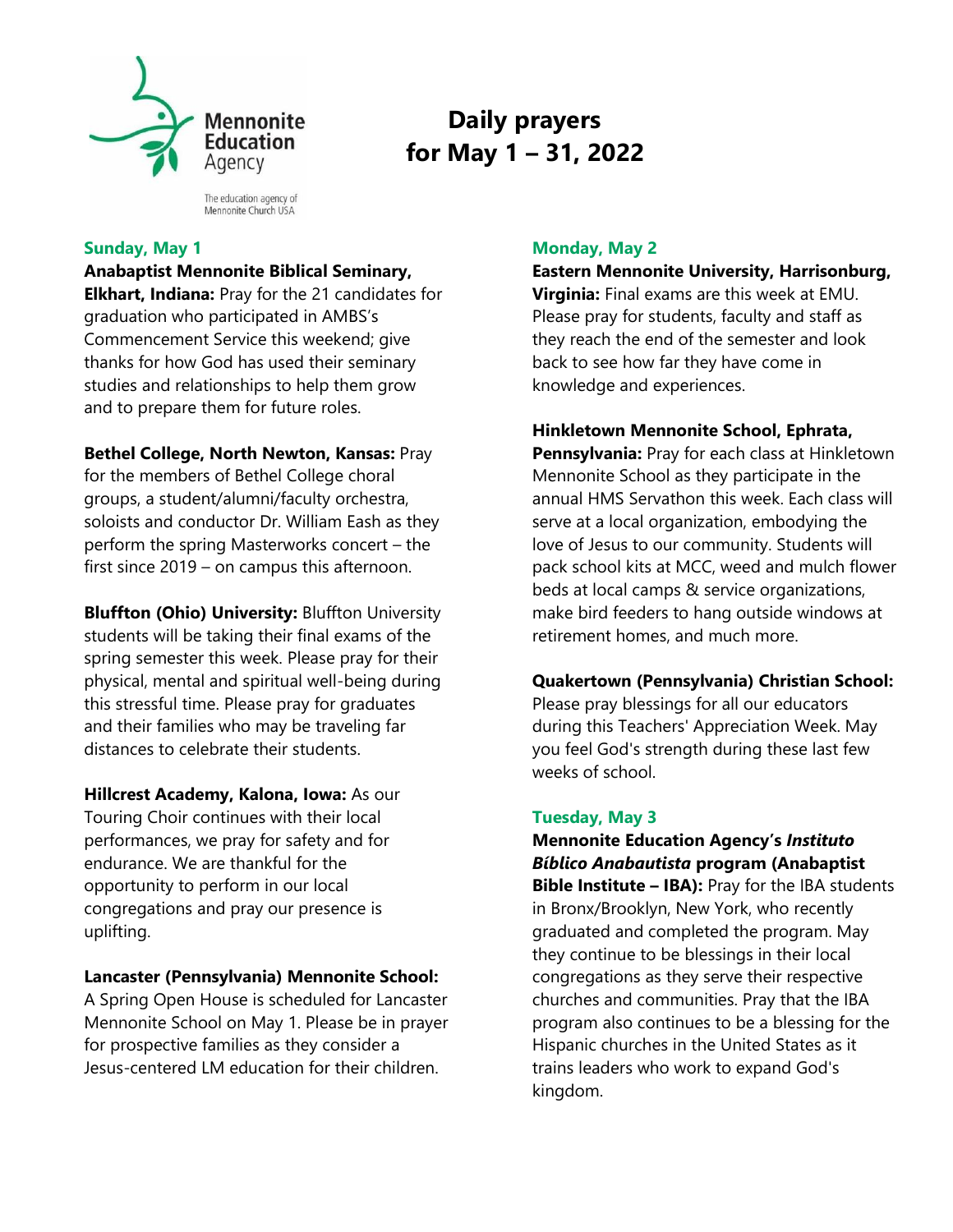

The education agency of Mennonite Church USA

## **Sunday, May 1**

**Anabaptist Mennonite Biblical Seminary, Elkhart, Indiana:** Pray for the 21 candidates for graduation who participated in AMBS's Commencement Service this weekend; give thanks for how God has used their seminary studies and relationships to help them grow and to prepare them for future roles.

## **Bethel College, North Newton, Kansas:** Pray for the members of Bethel College choral

groups, a student/alumni/faculty orchestra, soloists and conductor Dr. William Eash as they perform the spring Masterworks concert – the first since 2019 – on campus this afternoon.

**Bluffton (Ohio) University:** Bluffton University students will be taking their final exams of the spring semester this week. Please pray for their physical, mental and spiritual well-being during this stressful time. Please pray for graduates and their families who may be traveling far distances to celebrate their students.

**Hillcrest Academy, Kalona, Iowa:** As our Touring Choir continues with their local performances, we pray for safety and for endurance. We are thankful for the opportunity to perform in our local congregations and pray our presence is uplifting.

# **Lancaster (Pennsylvania) Mennonite School:**

A Spring Open House is scheduled for Lancaster Mennonite School on May 1. Please be in prayer for prospective families as they consider a Jesus-centered LM education for their children.

# **Monday, May 2**

**Daily prayers** 

 **for May 1 – 31, 2022**

### **Eastern Mennonite University, Harrisonburg,**

**Virginia:** Final exams are this week at EMU. Please pray for students, faculty and staff as they reach the end of the semester and look back to see how far they have come in knowledge and experiences.

# **Hinkletown Mennonite School, Ephrata,**

**Pennsylvania:** Pray for each class at Hinkletown Mennonite School as they participate in the annual HMS Servathon this week. Each class will serve at a local organization, embodying the love of Jesus to our community. Students will pack school kits at MCC, weed and mulch flower beds at local camps & service organizations, make bird feeders to hang outside windows at retirement homes, and much more.

## **Quakertown (Pennsylvania) Christian School:**

Please pray blessings for all our educators during this Teachers' Appreciation Week. May you feel God's strength during these last few weeks of school.

# **Tuesday, May 3**

**Mennonite Education Agency's** *Instituto Bíblico Anabautista* **program (Anabaptist Bible Institute – IBA):** Pray for the IBA students in Bronx/Brooklyn, New York, who recently graduated and completed the program. May they continue to be blessings in their local congregations as they serve their respective churches and communities. Pray that the IBA program also continues to be a blessing for the Hispanic churches in the United States as it trains leaders who work to expand God's kingdom.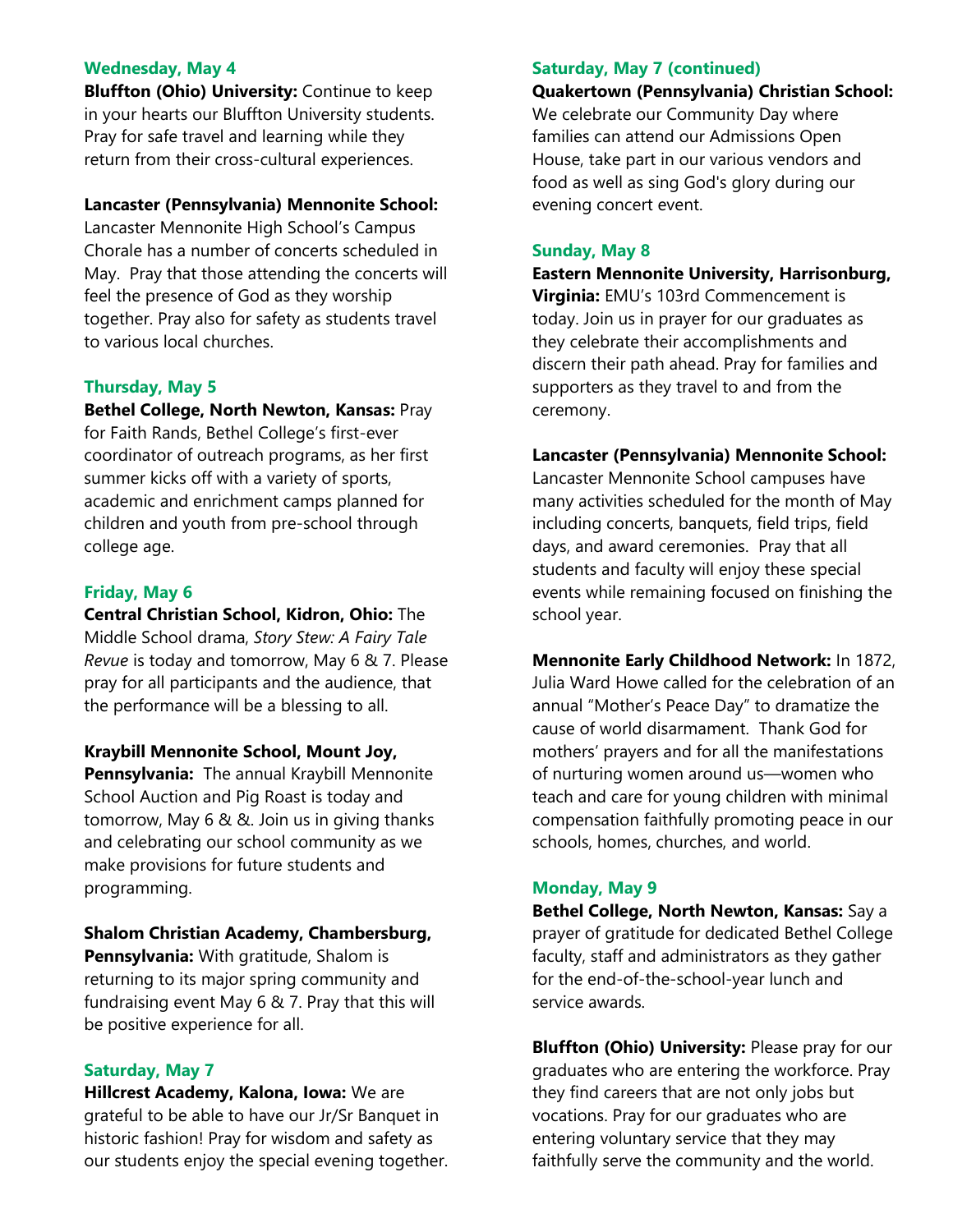## **Wednesday, May 4**

**Bluffton (Ohio) University:** Continue to keep in your hearts our Bluffton University students. Pray for safe travel and learning while they return from their cross-cultural experiences.

### **Lancaster (Pennsylvania) Mennonite School:**

Lancaster Mennonite High School's Campus Chorale has a number of concerts scheduled in May. Pray that those attending the concerts will feel the presence of God as they worship together. Pray also for safety as students travel to various local churches.

### **Thursday, May 5**

**Bethel College, North Newton, Kansas:** Pray for Faith Rands, Bethel College's first-ever coordinator of outreach programs, as her first summer kicks off with a variety of sports, academic and enrichment camps planned for children and youth from pre-school through college age.

#### **Friday, May 6**

**Central Christian School, Kidron, Ohio:** The Middle School drama, *Story Stew: A Fairy Tale Revue* is today and tomorrow, May 6 & 7. Please pray for all participants and the audience, that the performance will be a blessing to all.

#### **Kraybill Mennonite School, Mount Joy,**

**Pennsylvania:** The annual Kraybill Mennonite School Auction and Pig Roast is today and tomorrow, May 6 & &. Join us in giving thanks and celebrating our school community as we make provisions for future students and programming.

#### **Shalom Christian Academy, Chambersburg,**

**Pennsylvania:** With gratitude, Shalom is returning to its major spring community and fundraising event May 6 & 7. Pray that this will be positive experience for all.

#### **Saturday, May 7**

**Hillcrest Academy, Kalona, Iowa:** We are grateful to be able to have our Jr/Sr Banquet in historic fashion! Pray for wisdom and safety as our students enjoy the special evening together.

#### **Saturday, May 7 (continued)**

#### **Quakertown (Pennsylvania) Christian School:**

We celebrate our Community Day where families can attend our Admissions Open House, take part in our various vendors and food as well as sing God's glory during our evening concert event.

#### **Sunday, May 8**

**Eastern Mennonite University, Harrisonburg,** 

**Virginia:** EMU's 103rd Commencement is today. Join us in prayer for our graduates as they celebrate their accomplishments and discern their path ahead. Pray for families and supporters as they travel to and from the ceremony.

#### **Lancaster (Pennsylvania) Mennonite School:**

Lancaster Mennonite School campuses have many activities scheduled for the month of May including concerts, banquets, field trips, field days, and award ceremonies. Pray that all students and faculty will enjoy these special events while remaining focused on finishing the school year.

**Mennonite Early Childhood Network:** In 1872, Julia Ward Howe called for the celebration of an annual "Mother's Peace Day" to dramatize the cause of world disarmament. Thank God for mothers' prayers and for all the manifestations of nurturing women around us—women who teach and care for young children with minimal compensation faithfully promoting peace in our schools, homes, churches, and world.

#### **Monday, May 9**

**Bethel College, North Newton, Kansas:** Say a prayer of gratitude for dedicated Bethel College faculty, staff and administrators as they gather for the end-of-the-school-year lunch and service awards.

**Bluffton (Ohio) University:** Please pray for our graduates who are entering the workforce. Pray they find careers that are not only jobs but vocations. Pray for our graduates who are entering voluntary service that they may faithfully serve the community and the world.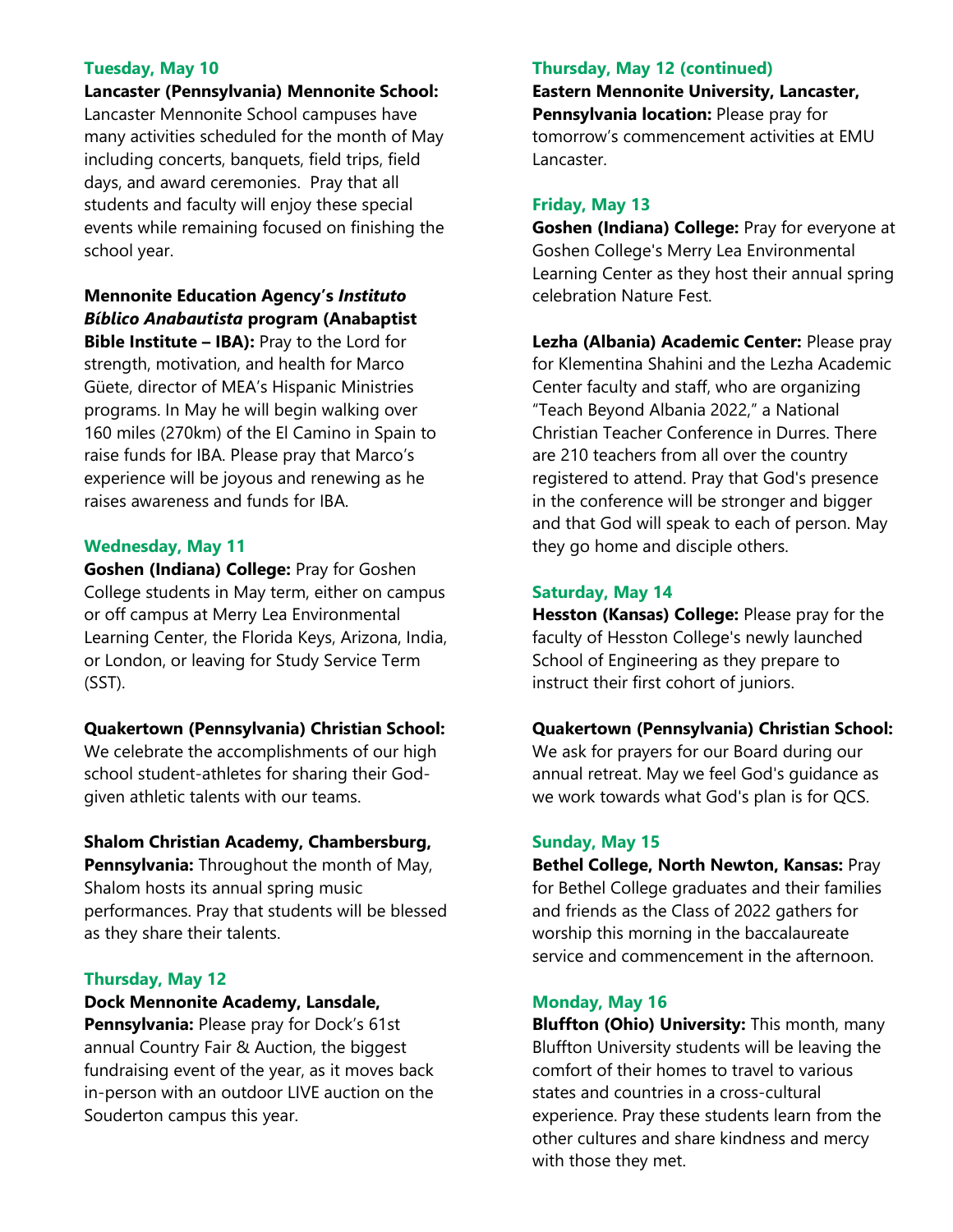# **Tuesday, May 10**

**Lancaster (Pennsylvania) Mennonite School:**  Lancaster Mennonite School campuses have many activities scheduled for the month of May including concerts, banquets, field trips, field days, and award ceremonies. Pray that all students and faculty will enjoy these special events while remaining focused on finishing the school year.

**Mennonite Education Agency's** *Instituto Bíblico Anabautista* **program (Anabaptist** 

**Bible Institute – IBA):** Pray to the Lord for strength, motivation, and health for Marco Güete, director of MEA's Hispanic Ministries programs. In May he will begin walking over 160 miles (270km) of the El Camino in Spain to raise funds for IBA. Please pray that Marco's experience will be joyous and renewing as he raises awareness and funds for IBA.

### **Wednesday, May 11**

**Goshen (Indiana) College:** Pray for Goshen College students in May term, either on campus or off campus at Merry Lea Environmental Learning Center, the Florida Keys, Arizona, India, or London, or leaving for Study Service Term (SST).

## **Quakertown (Pennsylvania) Christian School:**

We celebrate the accomplishments of our high school student-athletes for sharing their Godgiven athletic talents with our teams.

## **Shalom Christian Academy, Chambersburg,**

**Pennsylvania:** Throughout the month of May, Shalom hosts its annual spring music performances. Pray that students will be blessed as they share their talents.

## **Thursday, May 12**

# **Dock Mennonite Academy, Lansdale,**

**Pennsylvania:** Please pray for Dock's 61st annual Country Fair & Auction, the biggest fundraising event of the year, as it moves back in-person with an outdoor LIVE auction on the Souderton campus this year.

#### **Thursday, May 12 (continued)**

**Eastern Mennonite University, Lancaster, Pennsylvania location:** Please pray for tomorrow's commencement activities at EMU Lancaster.

#### **Friday, May 13**

**Goshen (Indiana) College:** Pray for everyone at Goshen College's Merry Lea Environmental Learning Center as they host their annual spring celebration Nature Fest.

**Lezha (Albania) Academic Center:** Please pray for Klementina Shahini and the Lezha Academic Center faculty and staff, who are organizing "Teach Beyond Albania 2022," a National Christian Teacher Conference in Durres. There are 210 teachers from all over the country registered to attend. Pray that God's presence in the conference will be stronger and bigger and that God will speak to each of person. May they go home and disciple others.

### **Saturday, May 14**

**Hesston (Kansas) College:** Please pray for the faculty of Hesston College's newly launched School of Engineering as they prepare to instruct their first cohort of juniors.

#### **Quakertown (Pennsylvania) Christian School:**

We ask for prayers for our Board during our annual retreat. May we feel God's guidance as we work towards what God's plan is for QCS.

#### **Sunday, May 15**

**Bethel College, North Newton, Kansas:** Pray for Bethel College graduates and their families and friends as the Class of 2022 gathers for worship this morning in the baccalaureate service and commencement in the afternoon.

### **Monday, May 16**

**Bluffton (Ohio) University:** This month, many Bluffton University students will be leaving the comfort of their homes to travel to various states and countries in a cross-cultural experience. Pray these students learn from the other cultures and share kindness and mercy with those they met.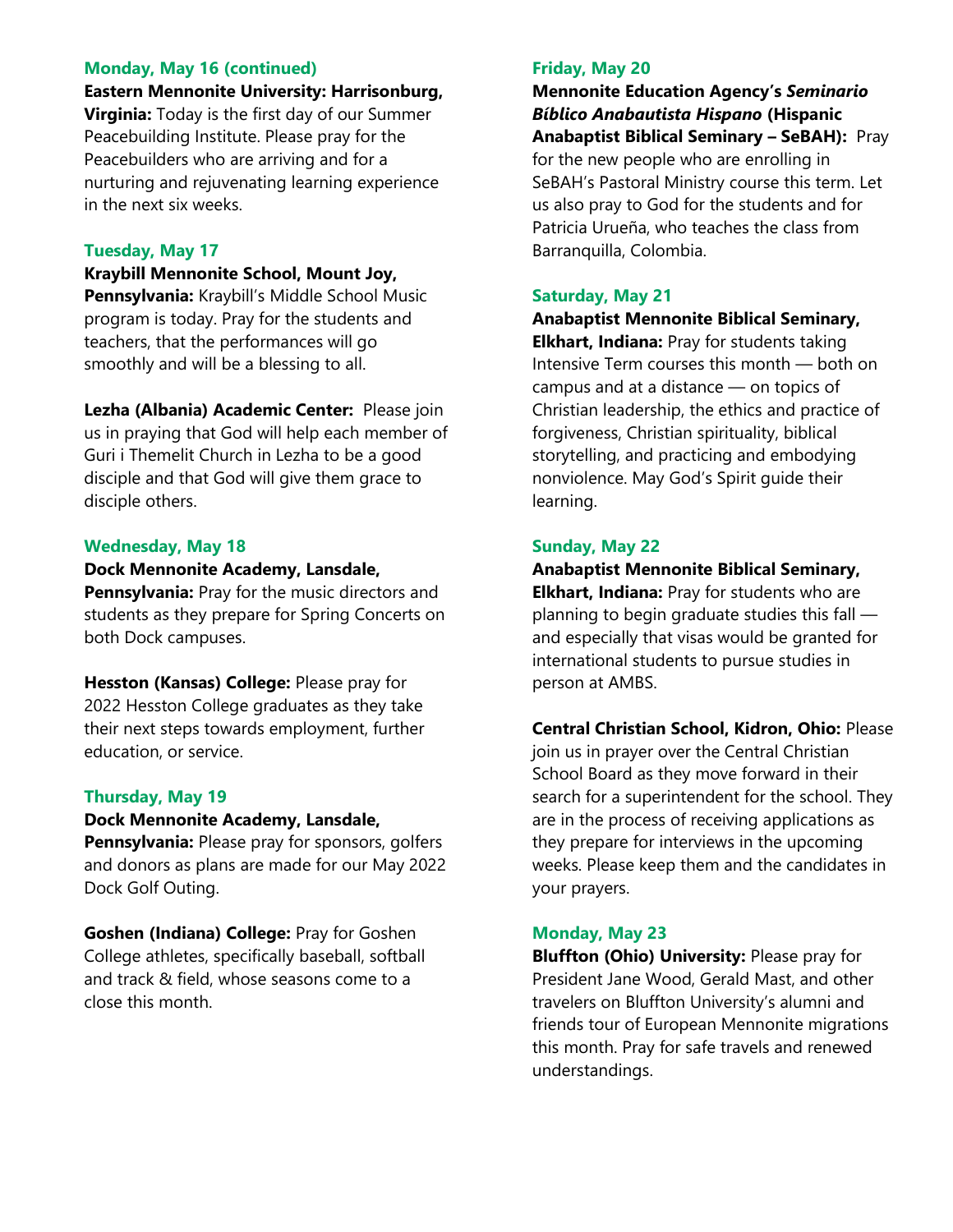### **Monday, May 16 (continued)**

**Eastern Mennonite University: Harrisonburg,** 

**Virginia:** Today is the first day of our Summer Peacebuilding Institute. Please pray for the Peacebuilders who are arriving and for a nurturing and rejuvenating learning experience in the next six weeks.

## **Tuesday, May 17**

**Kraybill Mennonite School, Mount Joy, Pennsylvania:** Kraybill's Middle School Music program is today. Pray for the students and teachers, that the performances will go smoothly and will be a blessing to all.

**Lezha (Albania) Academic Center:** Please join us in praying that God will help each member of Guri i Themelit Church in Lezha to be a good disciple and that God will give them grace to disciple others.

### **Wednesday, May 18**

**Dock Mennonite Academy, Lansdale,** 

**Pennsylvania:** Pray for the music directors and students as they prepare for Spring Concerts on both Dock campuses.

**Hesston (Kansas) College:** Please pray for 2022 Hesston College graduates as they take their next steps towards employment, further education, or service.

## **Thursday, May 19**

#### **Dock Mennonite Academy, Lansdale,**

**Pennsylvania:** Please pray for sponsors, golfers and donors as plans are made for our May 2022 Dock Golf Outing.

**Goshen (Indiana) College:** Pray for Goshen College athletes, specifically baseball, softball and track & field, whose seasons come to a close this month.

### **Friday, May 20**

**Mennonite Education Agency's** *Seminario Bíblico Anabautista Hispano* **(Hispanic Anabaptist Biblical Seminary – SeBAH):** Pray for the new people who are enrolling in SeBAH's Pastoral Ministry course this term. Let us also pray to God for the students and for Patricia Urueña, who teaches the class from Barranquilla, Colombia.

### **Saturday, May 21**

**Anabaptist Mennonite Biblical Seminary, Elkhart, Indiana:** Pray for students taking Intensive Term courses this month — both on campus and at a distance — on topics of Christian leadership, the ethics and practice of forgiveness, Christian spirituality, biblical storytelling, and practicing and embodying nonviolence. May God's Spirit guide their learning.

# **Sunday, May 22**

**Anabaptist Mennonite Biblical Seminary, Elkhart, Indiana:** Pray for students who are planning to begin graduate studies this fall and especially that visas would be granted for international students to pursue studies in person at AMBS.

**Central Christian School, Kidron, Ohio:** Please join us in prayer over the Central Christian School Board as they move forward in their search for a superintendent for the school. They are in the process of receiving applications as they prepare for interviews in the upcoming weeks. Please keep them and the candidates in your prayers.

#### **Monday, May 23**

**Bluffton (Ohio) University:** Please pray for President Jane Wood, Gerald Mast, and other travelers on Bluffton University's alumni and friends tour of European Mennonite migrations this month. Pray for safe travels and renewed understandings.